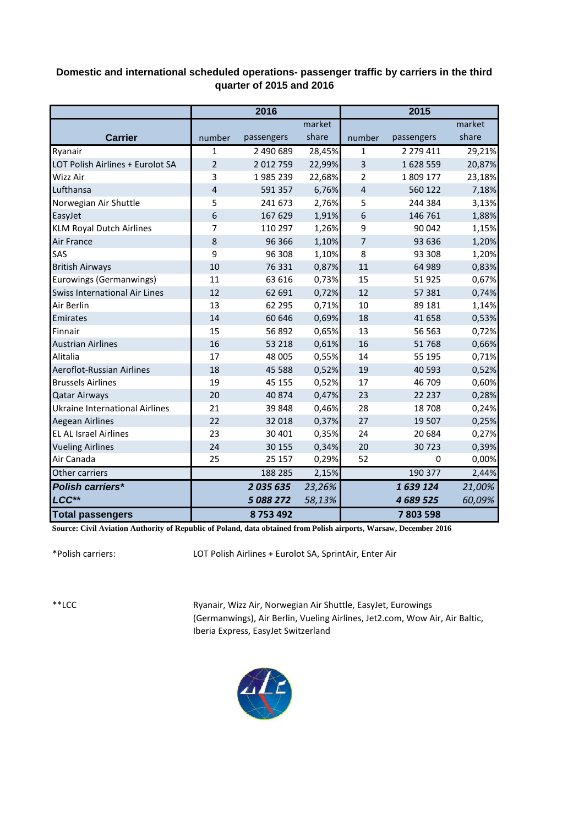## **Domestic and international scheduled operations- passenger traffic by carriers in the third quarter of 2015 and 2016**

|                                       | 2016           |            |        | 2015                    |            |        |
|---------------------------------------|----------------|------------|--------|-------------------------|------------|--------|
|                                       |                |            | market |                         |            | market |
| <b>Carrier</b>                        | number         | passengers | share  | number                  | passengers | share  |
| Ryanair                               | $\mathbf 1$    | 2 490 689  | 28,45% | 1                       | 2 279 411  | 29,21% |
| LOT Polish Airlines + Eurolot SA      | $\overline{2}$ | 2 012 759  | 22,99% | $\overline{\mathbf{3}}$ | 1628559    | 20,87% |
| Wizz Air                              | 3              | 1985 239   | 22,68% | 2                       | 1 809 177  | 23,18% |
| Lufthansa                             | 4              | 591 357    | 6,76%  | $\overline{4}$          | 560 122    | 7,18%  |
| Norwegian Air Shuttle                 | 5              | 241 673    | 2,76%  | 5                       | 244 384    | 3,13%  |
| EasyJet                               | 6              | 167 629    | 1,91%  | 6                       | 146 761    | 1,88%  |
| <b>KLM Royal Dutch Airlines</b>       | 7              | 110 297    | 1,26%  | 9                       | 90 042     | 1,15%  |
| <b>Air France</b>                     | 8              | 96 36 6    | 1,10%  | 7                       | 93 636     | 1,20%  |
| SAS                                   | 9              | 96 308     | 1,10%  | 8                       | 93 308     | 1,20%  |
| <b>British Airways</b>                | 10             | 76 331     | 0,87%  | 11                      | 64 989     | 0,83%  |
| Eurowings (Germanwings)               | 11             | 63 616     | 0,73%  | 15                      | 51925      | 0,67%  |
| <b>Swiss International Air Lines</b>  | 12             | 62 691     | 0,72%  | 12                      | 57 381     | 0,74%  |
| Air Berlin                            | 13             | 62 295     | 0,71%  | 10                      | 89 181     | 1,14%  |
| Emirates                              | 14             | 60 646     | 0,69%  | 18                      | 41 658     | 0,53%  |
| Finnair                               | 15             | 56 892     | 0,65%  | 13                      | 56 563     | 0,72%  |
| <b>Austrian Airlines</b>              | 16             | 53 218     | 0,61%  | 16                      | 51768      | 0,66%  |
| Alitalia                              | 17             | 48 005     | 0,55%  | 14                      | 55 195     | 0,71%  |
| Aeroflot-Russian Airlines             | 18             | 45 5 88    | 0,52%  | 19                      | 40 5 93    | 0,52%  |
| <b>Brussels Airlines</b>              | 19             | 45 155     | 0,52%  | 17                      | 46 709     | 0,60%  |
| <b>Qatar Airways</b>                  | 20             | 40 874     | 0,47%  | 23                      | 22 237     | 0,28%  |
| <b>Ukraine International Airlines</b> | 21             | 39 848     | 0,46%  | 28                      | 18708      | 0,24%  |
| <b>Aegean Airlines</b>                | 22             | 32 018     | 0,37%  | 27                      | 19 507     | 0,25%  |
| <b>EL AL Israel Airlines</b>          | 23             | 30 401     | 0,35%  | 24                      | 20 684     | 0,27%  |
| <b>Vueling Airlines</b>               | 24             | 30 155     | 0,34%  | 20                      | 30723      | 0,39%  |
| Air Canada                            | 25             | 25 157     | 0,29%  | 52                      | 0          | 0,00%  |
| Other carriers                        |                | 188 285    | 2,15%  |                         | 190 377    | 2,44%  |
| <b>Polish carriers*</b>               |                | 2035635    | 23,26% |                         | 1639124    | 21,00% |
| LCC**                                 |                | 5 088 272  | 58,13% |                         | 4 689 525  | 60,09% |
| <b>Total passengers</b>               |                | 8753492    |        |                         | 7803598    |        |

**Source: Civil Aviation Authority of Republic of Poland, data obtained from Polish airports, Warsaw, December 2016**

\*Polish carriers:

LOT Polish Airlines + Eurolot SA, SprintAir, Enter Air

\*\*LCC

Ryanair, Wizz Air, Norwegian Air Shuttle, EasyJet, Eurowings (Germanwings), Air Berlin, Vueling Airlines, Jet2.com, Wow Air, Air Baltic, Iberia Express, EasyJet Switzerland